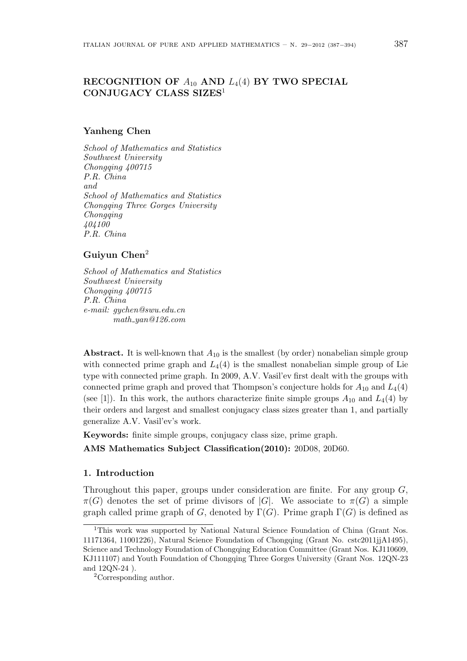# RECOGNITION OF  $A_{10}$  AND  $L_4(4)$  BY TWO SPECIAL CONJUGACY CLASS SIZES<sup>1</sup>

#### Yanheng Chen

School of Mathematics and Statistics Southwest University Chongqing 400715 P.R. China and School of Mathematics and Statistics Chongqing Three Gorges University Chongqing 404100 P.R. China

# Guiyun Chen<sup>2</sup>

School of Mathematics and Statistics Southwest University Chongqing 400715 P.R. China e-mail: gychen@swu.edu.cn math yan@126.com

**Abstract.** It is well-known that  $A_{10}$  is the smallest (by order) nonabelian simple group with connected prime graph and  $L_4(4)$  is the smallest nonabelian simple group of Lie type with connected prime graph. In 2009, A.V. Vasil'ev first dealt with the groups with connected prime graph and proved that Thompson's conjecture holds for  $A_{10}$  and  $L_4(4)$ (see [1]). In this work, the authors characterize finite simple groups  $A_{10}$  and  $L_4(4)$  by their orders and largest and smallest conjugacy class sizes greater than 1, and partially generalize A.V. Vasil'ev's work.

Keywords: finite simple groups, conjugacy class size, prime graph.

AMS Mathematics Subject Classification(2010): 20D08, 20D60.

### 1. Introduction

Throughout this paper, groups under consideration are finite. For any group  $G$ ,  $\pi(G)$  denotes the set of prime divisors of |G|. We associate to  $\pi(G)$  a simple graph called prime graph of G, denoted by  $\Gamma(G)$ . Prime graph  $\Gamma(G)$  is defined as

<sup>1</sup>This work was supported by National Natural Science Foundation of China (Grant Nos. 11171364, 11001226), Natural Science Foundation of Chongqing (Grant No. cstc2011jjA1495), Science and Technology Foundation of Chongqing Education Committee (Grant Nos. KJ110609, KJ111107) and Youth Foundation of Chongqing Three Gorges University (Grant Nos. 12QN-23 and 12QN-24 ).

<sup>2</sup>Corresponding author.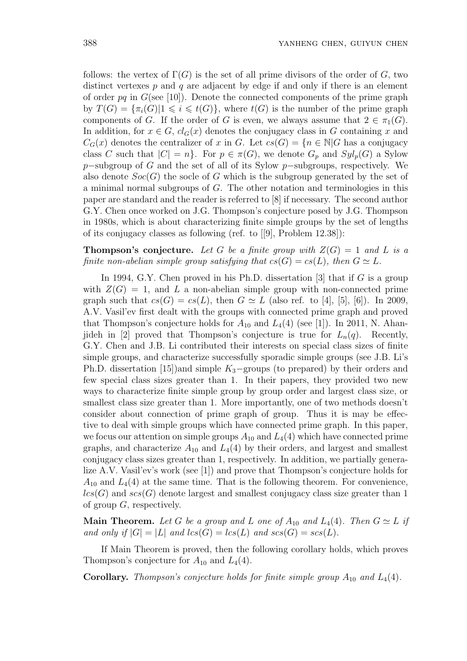follows: the vertex of  $\Gamma(G)$  is the set of all prime divisors of the order of G, two distinct vertexes  $p$  and  $q$  are adjacent by edge if and only if there is an element of order pq in  $G$ (see [10]). Denote the connected components of the prime graph by  $T(G) = {\pi_i(G)} \mid 1 \leq i \leq t(G)$ , where  $t(G)$  is the number of the prime graph components of G. If the order of G is even, we always assume that  $2 \in \pi_1(G)$ . In addition, for  $x \in G$ ,  $cl_G(x)$  denotes the conjugacy class in G containing x and  $C_G(x)$  denotes the centralizer of x in G. Let  $cs(G) = \{n \in \mathbb{N} | G$  has a conjugacy class C such that  $|C| = n$ . For  $p \in \pi(G)$ , we denote  $G_p$  and  $Syl_p(G)$  a Sylow p−subgroup of G and the set of all of its Sylow p−subgroups, respectively. We also denote  $Soc(G)$  the socle of G which is the subgroup generated by the set of a minimal normal subgroups of G. The other notation and terminologies in this paper are standard and the reader is referred to [8] if necessary. The second author G.Y. Chen once worked on J.G. Thompson's conjecture posed by J.G. Thompson in 1980s, which is about characterizing finite simple groups by the set of lengths of its conjugacy classes as following (ref. to [[9], Problem 12.38]):

**Thompson's conjecture.** Let G be a finite group with  $Z(G) = 1$  and L is a finite non-abelian simple group satisfying that  $cs(G) = cs(L)$ , then  $G \simeq L$ .

In 1994, G.Y. Chen proved in his Ph.D. dissertation [3] that if  $G$  is a group with  $Z(G) = 1$ , and L a non-abelian simple group with non-connected prime graph such that  $cs(G) = cs(L)$ , then  $G \simeq L$  (also ref. to [4], [5], [6]). In 2009, A.V. Vasil'ev first dealt with the groups with connected prime graph and proved that Thompson's conjecture holds for  $A_{10}$  and  $L_4(4)$  (see [1]). In 2011, N. Ahanjideh in [2] proved that Thompson's conjecture is true for  $L_n(q)$ . Recently, G.Y. Chen and J.B. Li contributed their interests on special class sizes of finite simple groups, and characterize successfully sporadic simple groups (see J.B. Li's Ph.D. dissertation [15])and simple  $K_3$ –groups (to prepared) by their orders and few special class sizes greater than 1. In their papers, they provided two new ways to characterize finite simple group by group order and largest class size, or smallest class size greater than 1. More importantly, one of two methods doesn't consider about connection of prime graph of group. Thus it is may be effective to deal with simple groups which have connected prime graph. In this paper, we focus our attention on simple groups  $A_{10}$  and  $L_4(4)$  which have connected prime graphs, and characterize  $A_{10}$  and  $L_4(4)$  by their orders, and largest and smallest conjugacy class sizes greater than 1, respectively. In addition, we partially generalize A.V. Vasil'ev's work (see [1]) and prove that Thompson's conjecture holds for  $A_{10}$  and  $L_4(4)$  at the same time. That is the following theorem. For convenience,  $lcs(G)$  and  $scs(G)$  denote largest and smallest conjugacy class size greater than 1 of group  $G$ , respectively.

**Main Theorem.** Let G be a group and L one of  $A_{10}$  and  $L_4(4)$ . Then  $G \simeq L$  if and only if  $|G| = |L|$  and  $lcs(G) = lcs(L)$  and  $scs(G) = scs(L)$ .

If Main Theorem is proved, then the following corollary holds, which proves Thompson's conjecture for  $A_{10}$  and  $L_4(4)$ .

**Corollary.** Thompson's conjecture holds for finite simple group  $A_{10}$  and  $L_4(4)$ .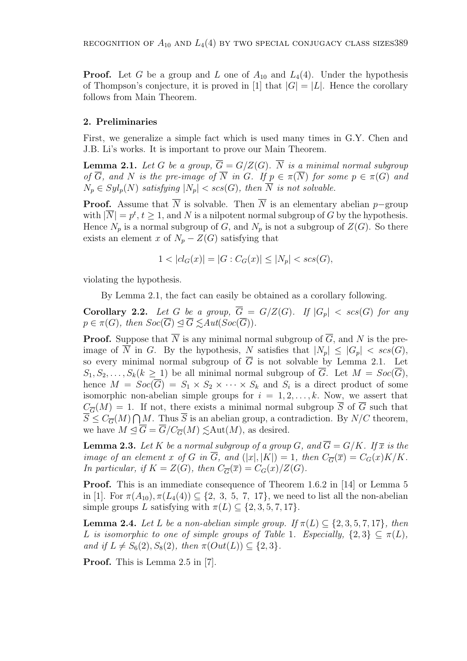**Proof.** Let G be a group and L one of  $A_{10}$  and  $L_4(4)$ . Under the hypothesis of Thompson's conjecture, it is proved in [1] that  $|G| = |L|$ . Hence the corollary follows from Main Theorem.

## 2. Preliminaries

First, we generalize a simple fact which is used many times in G.Y. Chen and J.B. Li's works. It is important to prove our Main Theorem.

**Lemma 2.1.** Let G be a group,  $\overline{G} = G/Z(G)$ .  $\overline{N}$  is a minimal normal subgroup of  $\overline{G}$ , and N is the pre-image of  $\overline{N}$  in G. If  $p \in \pi(\overline{N})$  for some  $p \in \pi(G)$  and  $N_p \in Syl_p(N)$  satisfying  $|N_p| < scs(G)$ , then  $\overline{N}$  is not solvable.

**Proof.** Assume that  $\overline{N}$  is solvable. Then  $\overline{N}$  is an elementary abelian p–group with  $|\overline{N}| = p^t, t \ge 1$ , and N is a nilpotent normal subgroup of G by the hypothesis. Hence  $N_p$  is a normal subgroup of G, and  $N_p$  is not a subgroup of  $Z(G)$ . So there exists an element x of  $N_p - Z(G)$  satisfying that

$$
1 < |cl_G(x)| = |G : C_G(x)| \le |N_p| < scs(G),
$$

violating the hypothesis.

By Lemma 2.1, the fact can easily be obtained as a corollary following.

**Corollary 2.2.** Let G be a group,  $\overline{G} = G/Z(G)$ . If  $|G_p| < scs(G)$  for any  $p \in \pi(G)$ , then  $Soc(\overline{G}) \triangleleft \overline{G} \leq Aut(Soc(\overline{G}))$ .

**Proof.** Suppose that  $\overline{N}$  is any minimal normal subgroup of  $\overline{G}$ , and N is the preimage of  $\overline{N}$  in G. By the hypothesis, N satisfies that  $|N_p| \leq |G_p| < scs(G)$ , so every minimal normal subgroup of  $\overline{G}$  is not solvable by Lemma 2.1. Let  $S_1, S_2, \ldots, S_k(k \geq 1)$  be all minimal normal subgroup of  $\overline{G}$ . Let  $M = Soc(\overline{G})$ , hence  $M = Soc(\overline{G}) = S_1 \times S_2 \times \cdots \times S_k$  and  $S_i$  is a direct product of some isomorphic non-abelian simple groups for  $i = 1, 2, \ldots, k$ . Now, we assert that  $C_{\overline{G}}(M) = 1$ . If not, there exists a minimal normal subgroup  $\overline{S}$  of  $\overline{G}$  such that  $\overline{S} \leq C_{\overline{G}}(M) \bigcap M$ . Thus  $\overline{S}$  is an abelian group, a contradiction. By  $N/C$  theorem, we have  $M \trianglelefteq \overline{G} = \overline{G}/C_{\overline{G}}(M) \leq \text{Aut}(M)$ , as desired.

**Lemma 2.3.** Let K be a normal subgroup of a group G, and  $\overline{G} = G/K$ . If  $\overline{x}$  is the image of an element x of G in  $\overline{G}$ , and  $(|x|, |K|) = 1$ , then  $C_{\overline{G}}(\overline{x}) = C_G(x)K/K$ . In particular, if  $K = Z(G)$ , then  $C_{\overline{G}}(\overline{x}) = C_G(x)/Z(G)$ .

Proof. This is an immediate consequence of Theorem 1.6.2 in [14] or Lemma 5 in [1]. For  $\pi(A_{10}), \pi(L_4(4)) \subseteq \{2, 3, 5, 7, 17\}$ , we need to list all the non-abelian simple groups L satisfying with  $\pi(L) \subseteq \{2, 3, 5, 7, 17\}.$ 

**Lemma 2.4.** Let L be a non-abelian simple group. If  $\pi(L) \subset \{2, 3, 5, 7, 17\}$ , then L is isomorphic to one of simple groups of Table 1. Especially,  $\{2,3\} \subseteq \pi(L)$ , and if  $L \neq S_6(2), S_8(2)$ , then  $\pi(Out(L)) \subseteq \{2, 3\}.$ 

Proof. This is Lemma 2.5 in [7].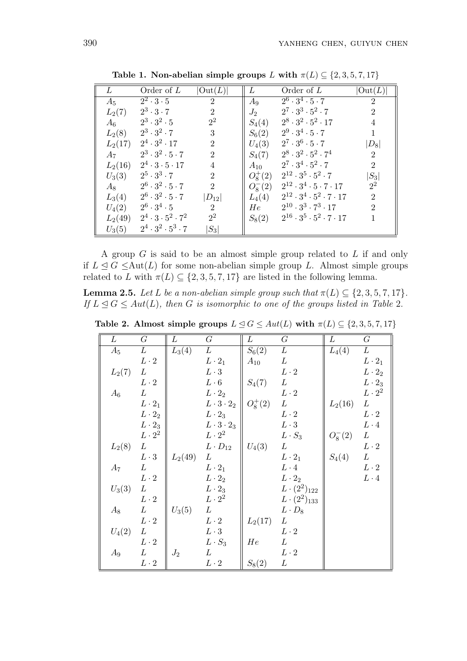| L         | Order of $L$                      | $ \text{Out}(L) $ | L          | Order of $L$                                  | $ \mathrm{Out}(L) $ |
|-----------|-----------------------------------|-------------------|------------|-----------------------------------------------|---------------------|
| $A_5$     | $2^2 \cdot 3 \cdot 5$             | $\overline{2}$    | $A_9$      | $2^6 \cdot 3^4 \cdot 5 \cdot 7$               | $\overline{2}$      |
| $L_2(7)$  | $2^3 \cdot 3 \cdot 7$             | $\overline{2}$    | $J_2$      | $2^7 \cdot 3^3 \cdot 5^2 \cdot 7$             | $\overline{2}$      |
| $A_6$     | $2^3 \cdot 3^2 \cdot 5$           | $2^2$             | $S_4(4)$   | $2^8 \cdot 3^2 \cdot 5^2 \cdot 17$            | 4                   |
| $L_2(8)$  | $2^3 \cdot 3^2 \cdot 7$           | 3                 | $S_6(2)$   | $2^9 \cdot 3^4 \cdot 5 \cdot 7$               | 1                   |
| $L_2(17)$ | $2^4 \cdot 3^2 \cdot 17$          | $\overline{2}$    | $U_4(3)$   | $2^7 \cdot 3^6 \cdot 5 \cdot 7$               | $ D_8 $             |
| $A_7$     | $2^3 \cdot 3^2 \cdot 5 \cdot 7$   | $\overline{2}$    | $S_4(7)$   | $2^8 \cdot 3^2 \cdot 5^2 \cdot 7^4$           | $\overline{2}$      |
| $L_2(16)$ | $2^4 \cdot 3 \cdot 5 \cdot 17$    | $\overline{4}$    | $A_{10}$   | $2^7 \cdot 3^4 \cdot 5^2 \cdot 7$             | $\overline{2}$      |
| $U_3(3)$  | $2^5 \cdot 3^3 \cdot 7$           | $\overline{2}$    | $O_8^+(2)$ | $2^{12} \cdot 3^5 \cdot 5^2 \cdot 7$          | $ S_3 $             |
| $A_8$     | $2^6 \cdot 3^2 \cdot 5 \cdot 7$   | $\overline{2}$    | $O_8^-(2)$ | $2^{12} \cdot 3^4 \cdot 5 \cdot 7 \cdot 17$   | $2^2$               |
| $L_3(4)$  | $2^6 \cdot 3^2 \cdot 5 \cdot 7$   | $ D_{12} $        | $L_4(4)$   | $2^{12} \cdot 3^4 \cdot 5^2 \cdot 7 \cdot 17$ | $\overline{2}$      |
| $U_4(2)$  | $2^6 \cdot 3^4 \cdot 5$           | $\overline{2}$    | $He^-$     | $2^{10} \cdot 3^3 \cdot 7^3 \cdot 17$         | $\overline{2}$      |
| $L_2(49)$ | $2^4 \cdot 3 \cdot 5^2 \cdot 7^2$ | $2^2$             | $S_8(2)$   | $2^{16} \cdot 3^5 \cdot 5^2 \cdot 7 \cdot 17$ | 1                   |
| $U_3(5)$  | $2^4 \cdot 3^2 \cdot 5^3 \cdot 7$ | $ S_3 $           |            |                                               |                     |

Table 1. Non-abelian simple groups L with  $\pi(L) \subseteq \{2, 3, 5, 7, 17\}$ 

A group  $G$  is said to be an almost simple group related to  $L$  if and only if  $L \leq G \leq \text{Aut}(L)$  for some non-abelian simple group L. Almost simple groups related to L with  $\pi(L) \subseteq \{2, 3, 5, 7, 17\}$  are listed in the following lemma.

**Lemma 2.5.** Let L be a non-abelian simple group such that  $\pi(L) \subseteq \{2, 3, 5, 7, 17\}$ . If  $L \leq G \leq Aut(L)$ , then G is isomorphic to one of the groups listed in Table 2.

| L        | $G\$            | L         | $G\,$                 | L          | $G\$                  | L            | $G\,$         |
|----------|-----------------|-----------|-----------------------|------------|-----------------------|--------------|---------------|
| $A_5$    | L               | $L_3(4)$  | L                     | $S_6(2)$   | L                     | $L_4(4)$     | L             |
|          | $L\cdot 2$      |           | $L \cdot 2_1$         | $A_{10}$   | L                     |              | $L \cdot 2_1$ |
| $L_2(7)$ | L               |           | $L \cdot 3$           |            | $L\cdot 2$            |              | $L \cdot 2_2$ |
|          | $L\cdot 2$      |           | $L \cdot 6$           | $S_4(7)$   | L                     |              | $L \cdot 2_3$ |
| $A_6$    | $L_{\parallel}$ |           | $L \cdot 2_2$         |            | $L \cdot 2$           |              | $L \cdot 2^2$ |
|          | $L \cdot 2_1$   |           | $L \cdot 3 \cdot 2_2$ | $O_8^+(2)$ | L                     | $L_2(16)$    | L             |
|          | $L \cdot 2_2$   |           | $L \cdot 2_3$         |            | $L \cdot 2$           |              | $L\cdot 2$    |
|          | $L\cdot 2_3$    |           | $L \cdot 3 \cdot 2_3$ |            | $L\cdot 3$            |              | $L \cdot 4$   |
|          | $L \cdot 2^2$   |           | $L\cdot 2^2$          |            | $L \cdot S_3$         | $O_8^{-}(2)$ | L             |
| $L_2(8)$ | L               |           | $L \cdot D_{12}$      | $U_4(3)$   | L                     |              | $L\cdot 2$    |
|          | $L \cdot 3$     | $L_2(49)$ | L                     |            | $L\cdot 2_1$          | $S_4(4)$     | L             |
| $A_7$    | L               |           | $L \cdot 2_1$         |            | $L\cdot 4$            |              | $L\cdot 2$    |
|          | $L\cdot 2$      |           | $L \cdot 2_2$         |            | $L\cdot 2_2$          |              | $L \cdot 4$   |
| $U_3(3)$ | L               |           | $L \cdot 2_3$         |            | $L \cdot (2^2)_{122}$ |              |               |
|          | $L\cdot 2$      |           | $L \cdot 2^2$         |            | $L \cdot (2^2)_{133}$ |              |               |
| $A_8$    | L               | $U_3(5)$  | L                     |            | $L \cdot D_8$         |              |               |
|          | $L\cdot 2$      |           | $L\cdot 2$            | $L_2(17)$  | L                     |              |               |
| $U_4(2)$ | L               |           | $L \cdot 3$           |            | $L \cdot 2$           |              |               |
|          | $L\cdot 2$      |           | $L \cdot S_3$         | He         | L                     |              |               |
| $A_9$    | L               | $J_2$     | L                     |            | $L \cdot 2$           |              |               |
|          | $L\cdot 2$      |           | $L\cdot 2$            | $S_8(2)$   | L                     |              |               |

Table 2. Almost simple groups  $L \leq G \leq Aut(L)$  with  $\pi(L) \subseteq \{2, 3, 5, 7, 17\}$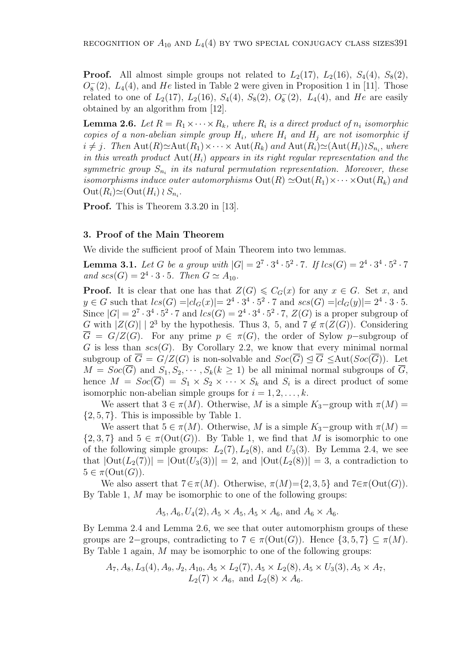**Proof.** All almost simple groups not related to  $L_2(17)$ ,  $L_2(16)$ ,  $S_4(4)$ ,  $S_8(2)$ ,  $O_8^-(2)$ ,  $L_4(4)$ , and He listed in Table 2 were given in Proposition 1 in [11]. Those related to one of  $L_2(17)$ ,  $L_2(16)$ ,  $S_4(4)$ ,  $S_8(2)$ ,  $O_8^-(2)$ ,  $L_4(4)$ , and He are easily obtained by an algorithm from [12].

**Lemma 2.6.** Let  $R = R_1 \times \cdots \times R_k$ , where  $R_i$  is a direct product of  $n_i$  isomorphic copies of a non-abelian simple group  $H_i$ , where  $H_i$  and  $H_j$  are not isomorphic if  $i \neq j$ . Then  $\text{Aut}(R) \simeq \text{Aut}(R_1) \times \cdots \times \text{Aut}(R_k)$  and  $\text{Aut}(R_i) \simeq (\text{Aut}(H_i) \wr S_{n_i},$  where in this wreath product  $\text{Aut}(H_i)$  appears in its right regular representation and the symmetric group  $S_{n_i}$  in its natural permutation representation. Moreover, these isomorphisms induce outer automorphisms  $\text{Out}(R) \simeq \text{Out}(R_1) \times \cdots \times \text{Out}(R_k)$  and  $\mathrm{Out}(R_i)\simeq(\mathrm{Out}(H_i)\wr S_{n_i}).$ 

Proof. This is Theorem 3.3.20 in [13].

## 3. Proof of the Main Theorem

We divide the sufficient proof of Main Theorem into two lemmas.

**Lemma 3.1.** Let G be a group with  $|G| = 2^7 \cdot 3^4 \cdot 5^2 \cdot 7$ . If  $lcs(G) = 2^4 \cdot 3^4 \cdot 5^2 \cdot 7$ and  $scs(G) = 2^4 \cdot 3 \cdot 5$ . Then  $G \simeq A_{10}$ .

**Proof.** It is clear that one has that  $Z(G) \leq C_G(x)$  for any  $x \in G$ . Set x, and  $y \in G$  such that  $lcs(G) = |cl_G(x)| = 2^4 \cdot 3^4 \cdot 5^2 \cdot 7$  and  $scs(G) = |cl_G(y)| = 2^4 \cdot 3 \cdot 5$ . Since  $|G| = 2^7 \cdot 3^4 \cdot 5^2 \cdot 7$  and  $lcs(G) = 2^4 \cdot 3^4 \cdot 5^2 \cdot 7$ ,  $Z(G)$  is a proper subgroup of G with  $|Z(G)| \mid 2^3$  by the hypothesis. Thus 3, 5, and  $7 \notin \pi(Z(G))$ . Considering  $\overline{G} = G/Z(G)$ . For any prime  $p \in \pi(G)$ , the order of Sylow p-subgroup of G is less than  $scs(G)$ . By Corollary 2.2, we know that every minimal normal subgroup of  $\overline{G} = G/Z(G)$  is non-solvable and  $Soc(\overline{G}) \trianglelefteq \overline{G} \leq \text{Aut}(Soc(\overline{G}))$ . Let  $M = Soc(\overline{G})$  and  $S_1, S_2, \cdots, S_k (k \ge 1)$  be all minimal normal subgroups of  $\overline{G}$ , hence  $M = Soc(\overline{G}) = S_1 \times S_2 \times \cdots \times S_k$  and  $S_i$  is a direct product of some isomorphic non-abelian simple groups for  $i = 1, 2, \ldots, k$ .

We assert that  $3 \in \pi(M)$ . Otherwise, M is a simple  $K_3$ –group with  $\pi(M)$  =  $\{2, 5, 7\}$ . This is impossible by Table 1.

We assert that  $5 \in \pi(M)$ . Otherwise, M is a simple  $K_3$ -group with  $\pi(M)$  =  $\{2,3,7\}$  and  $5 \in \pi(\text{Out}(G))$ . By Table 1, we find that M is isomorphic to one of the following simple groups:  $L_2(7)$ ,  $L_2(8)$ , and  $U_3(3)$ . By Lemma 2.4, we see that  $|\text{Out}(L_2(7))| = |\text{Out}(U_3(3))| = 2$ , and  $|\text{Out}(L_2(8))| = 3$ , a contradiction to  $5 \in \pi(\mathrm{Out}(G)).$ 

We also assert that  $7 \in \pi(M)$ . Otherwise,  $\pi(M)=\{2,3,5\}$  and  $7 \in \pi(\text{Out}(G))$ . By Table 1, M may be isomorphic to one of the following groups:

$$
A_5, A_6, U_4(2), A_5 \times A_5, A_5 \times A_6
$$
, and  $A_6 \times A_6$ .

By Lemma 2.4 and Lemma 2.6, we see that outer automorphism groups of these groups are 2−groups, contradicting to  $7 \in \pi(\text{Out}(G))$ . Hence  $\{3, 5, 7\} \subseteq \pi(M)$ . By Table 1 again, M may be isomorphic to one of the following groups:

$$
A_7, A_8, L_3(4), A_9, J_2, A_{10}, A_5 \times L_2(7), A_5 \times L_2(8), A_5 \times U_3(3), A_5 \times A_7,
$$
  
 $L_2(7) \times A_6$ , and  $L_2(8) \times A_6$ .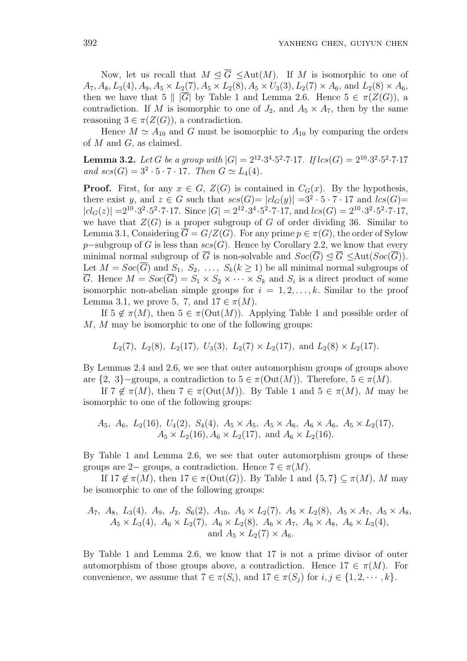Now, let us recall that  $M \triangleleft \overline{G} \leq \text{Aut}(M)$ . If M is isomorphic to one of  $A_7, A_8, L_3(4), A_9, A_5 \times L_2(7), A_5 \times L_2(8), A_5 \times U_3(3), L_2(7) \times A_6$ , and  $L_2(8) \times A_6$ , then we have that 5 ||  $|\overline{G}|$  by Table 1 and Lemma 2.6. Hence  $5 \in \pi(Z(G))$ , a contradiction. If M is isomorphic to one of  $J_2$ , and  $A_5 \times A_7$ , then by the same reasoning  $3 \in \pi(Z(G))$ , a contradiction.

Hence  $M \simeq A_{10}$  and G must be isomorphic to  $A_{10}$  by comparing the orders of  $M$  and  $G$ , as claimed.

**Lemma 3.2.** Let G be a group with  $|G| = 2^{12} \cdot 3^4 \cdot 5^2 \cdot 7 \cdot 17$ . If  $lcs(G) = 2^{10} \cdot 3^2 \cdot 5^2 \cdot 7 \cdot 17$ and  $scs(G) = 3^2 \cdot 5 \cdot 7 \cdot 17$ . Then  $G \simeq L_4(4)$ .

**Proof.** First, for any  $x \in G$ ,  $Z(G)$  is contained in  $C_G(x)$ . By the hypothesis, there exist y, and  $z \in G$  such that  $scs(G) = |cl_G(y)| = 3^2 \cdot 5 \cdot 7 \cdot 17$  and  $lcs(G) =$  $|cl_G(z)| = 2^{10} \cdot 3^2 \cdot 5^2 \cdot 7 \cdot 17$ . Since  $|G| = 2^{12} \cdot 3^4 \cdot 5^2 \cdot 7 \cdot 17$ , and  $lcs(G) = 2^{10} \cdot 3^2 \cdot 5^2 \cdot 7 \cdot 17$ , we have that  $Z(G)$  is a proper subgroup of G of order dividing 36. Similar to Lemma 3.1, Considering  $\overline{G} = G/Z(G)$ . For any prime  $p \in \pi(G)$ , the order of Sylow p–subgroup of G is less than  $scs(G)$ . Hence by Corollary 2.2, we know that every minimal normal subgroup of  $\overline{G}$  is non-solvable and  $Soc(\overline{G}) \trianglelefteq \overline{G} \leq \text{Aut}(Soc(\overline{G}))$ . Let  $M = Soc(\overline{G})$  and  $S_1, S_2, \ldots, S_k (k \geq 1)$  be all minimal normal subgroups of  $\overline{G}$ . Hence  $M = Soc(\overline{G}) = S_1 \times S_2 \times \cdots \times S_k$  and  $S_i$  is a direct product of some isomorphic non-abelian simple groups for  $i = 1, 2, \ldots, k$ . Similar to the proof Lemma 3.1, we prove 5, 7, and  $17 \in \pi(M)$ .

If  $5 \notin \pi(M)$ , then  $5 \in \pi(\text{Out}(M))$ . Applying Table 1 and possible order of M, M may be isomorphic to one of the following groups:

$$
L_2(7)
$$
,  $L_2(8)$ ,  $L_2(17)$ ,  $U_3(3)$ ,  $L_2(7) \times L_2(17)$ , and  $L_2(8) \times L_2(17)$ .

By Lemmas 2.4 and 2.6, we see that outer automorphism groups of groups above are  $\{2, 3\}$ –groups, a contradiction to  $5 \in \pi(\text{Out}(M))$ . Therefore,  $5 \in \pi(M)$ .

If  $7 \notin \pi(M)$ , then  $7 \in \pi(\text{Out}(M))$ . By Table 1 and  $5 \in \pi(M)$ , M may be isomorphic to one of the following groups:

$$
A_5
$$
,  $A_6$ ,  $L_2(16)$ ,  $U_4(2)$ ,  $S_4(4)$ ,  $A_5 \times A_5$ ,  $A_5 \times A_6$ ,  $A_6 \times A_6$ ,  $A_5 \times L_2(17)$ ,  $A_5 \times L_2(16)$ ,  $A_6 \times L_2(17)$ , and  $A_6 \times L_2(16)$ .

By Table 1 and Lemma 2.6, we see that outer automorphism groups of these groups are 2− groups, a contradiction. Hence  $7 \in \pi(M)$ .

If  $17 \notin \pi(M)$ , then  $17 \in \pi(\text{Out}(G))$ . By Table 1 and  $\{5, 7\} \subset \pi(M)$ , M may be isomorphic to one of the following groups:

$$
A_7
$$
,  $A_8$ ,  $L_3(4)$ ,  $A_9$ ,  $J_2$ ,  $S_6(2)$ ,  $A_{10}$ ,  $A_5 \times L_2(7)$ ,  $A_5 \times L_2(8)$ ,  $A_5 \times A_7$ ,  $A_5 \times A_8$ ,  $A_5 \times L_3(4)$ ,  $A_6 \times L_2(7)$ ,  $A_6 \times L_2(8)$ ,  $A_6 \times A_7$ ,  $A_6 \times A_8$ ,  $A_6 \times L_3(4)$ , and  $A_5 \times L_2(7) \times A_6$ .

By Table 1 and Lemma 2.6, we know that 17 is not a prime divisor of outer automorphism of those groups above, a contradiction. Hence  $17 \in \pi(M)$ . For convenience, we assume that  $7 \in \pi(S_i)$ , and  $17 \in \pi(S_j)$  for  $i, j \in \{1, 2, \dots, k\}$ .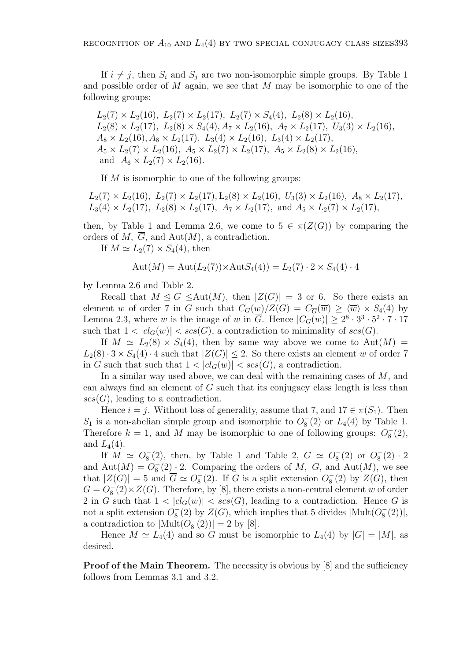If  $i \neq j$ , then  $S_i$  and  $S_j$  are two non-isomorphic simple groups. By Table 1 and possible order of  $M$  again, we see that  $M$  may be isomorphic to one of the following groups:

 $L_2(7) \times L_2(16)$ ,  $L_2(7) \times L_2(17)$ ,  $L_2(7) \times S_4(4)$ ,  $L_2(8) \times L_2(16)$ ,  $L_2(8) \times L_2(17)$ ,  $L_2(8) \times S_4(4)$ ,  $A_7 \times L_2(16)$ ,  $A_7 \times L_2(17)$ ,  $U_3(3) \times L_2(16)$ ,  $A_8 \times L_2(16)$ ,  $A_8 \times L_2(17)$ ,  $L_3(4) \times L_2(16)$ ,  $L_3(4) \times L_2(17)$ ,  $A_5 \times L_2(7) \times L_2(16)$ ,  $A_5 \times L_2(7) \times L_2(17)$ ,  $A_5 \times L_2(8) \times L_2(16)$ , and  $A_6 \times L_2(7) \times L_2(16)$ .

If  $M$  is isomorphic to one of the following groups:

 $L_2(7) \times L_2(16)$ ,  $L_2(7) \times L_2(17)$ ,  $L_2(8) \times L_2(16)$ ,  $U_3(3) \times L_2(16)$ ,  $A_8 \times L_2(17)$ ,  $L_3(4) \times L_2(17)$ ,  $L_2(8) \times L_2(17)$ ,  $A_7 \times L_2(17)$ , and  $A_5 \times L_2(7) \times L_2(17)$ ,

then, by Table 1 and Lemma 2.6, we come to  $5 \in \pi(Z(G))$  by comparing the orders of M,  $\overline{G}$ , and Aut $(M)$ , a contradiction.

If  $M \simeq L_2(7) \times S_4(4)$ , then

$$
Aut(M) = Aut(L_2(7)) \times AutS_4(4)) = L_2(7) \cdot 2 \times S_4(4) \cdot 4
$$

by Lemma 2.6 and Table 2.

Recall that  $M \triangleleft \overline{G} \leq \text{Aut}(M)$ , then  $|Z(G)| = 3$  or 6. So there exists an element w of order 7 in G such that  $C_G(w)/Z(G) = C_{\overline{G}}(\overline{w}) \ge \langle \overline{w} \rangle \times S_4(4)$  by Lemma 2.3, where  $\overline{w}$  is the image of w in  $\overline{G}$ . Hence  $|C_G(w)| \geq 2^8 \cdot 3^3 \cdot 5^2 \cdot 7 \cdot 17$ such that  $1 < |cl_G(w)| < \text{scs}(G)$ , a contradiction to minimality of  $\text{scs}(G)$ .

If  $M \simeq L_2(8) \times S_4(4)$ , then by same way above we come to  $Aut(M) =$  $L_2(8) \cdot 3 \times S_4(4) \cdot 4$  such that  $|Z(G)| \leq 2$ . So there exists an element w of order 7 in G such that such that  $1 < |cl_G(w)| < scs(G)$ , a contradiction.

In a similar way used above, we can deal with the remaining cases of M, and can always find an element of G such that its conjugacy class length is less than  $scs(G)$ , leading to a contradiction.

Hence  $i = j$ . Without loss of generality, assume that 7, and  $17 \in \pi(S_1)$ . Then  $S_1$  is a non-abelian simple group and isomorphic to  $O_8^-(2)$  or  $L_4(4)$  by Table 1. Therefore  $k = 1$ , and M may be isomorphic to one of following groups:  $O_8^-(2)$ , and  $L_4(4)$ .

If  $M \simeq O_8^-(2)$ , then, by Table 1 and Table 2,  $\overline{G} \simeq O_8^-(2)$  or  $O_8^-(2) \cdot 2$ and  $\text{Aut}(M) = O_8^-(2) \cdot 2$ . Comparing the orders of M,  $\overline{G}$ , and  $\text{Aut}(M)$ , we see that  $|Z(G)| = 5$  and  $\overline{G} \simeq O_8^{-}(2)$ . If G is a split extension  $O_8^{-}(2)$  by  $Z(G)$ , then  $G = O_8^-(2) \times Z(G)$ . Therefore, by [8], there exists a non-central element w of order 2 in G such that  $1 < |cl_G(w)| < \mathsf{scs}(G)$ , leading to a contradiction. Hence G is not a split extension  $O_8^-(2)$  by  $Z(G)$ , which implies that 5 divides  $|\text{Mult}(O_8^-(2))|$ , a contradiction to  $|\text{Mult}(O_8^-(2))|=2$  by [8].

Hence  $M \simeq L_4(4)$  and so G must be isomorphic to  $L_4(4)$  by  $|G| = |M|$ , as desired.

**Proof of the Main Theorem.** The necessity is obvious by [8] and the sufficiency follows from Lemmas 3.1 and 3.2.